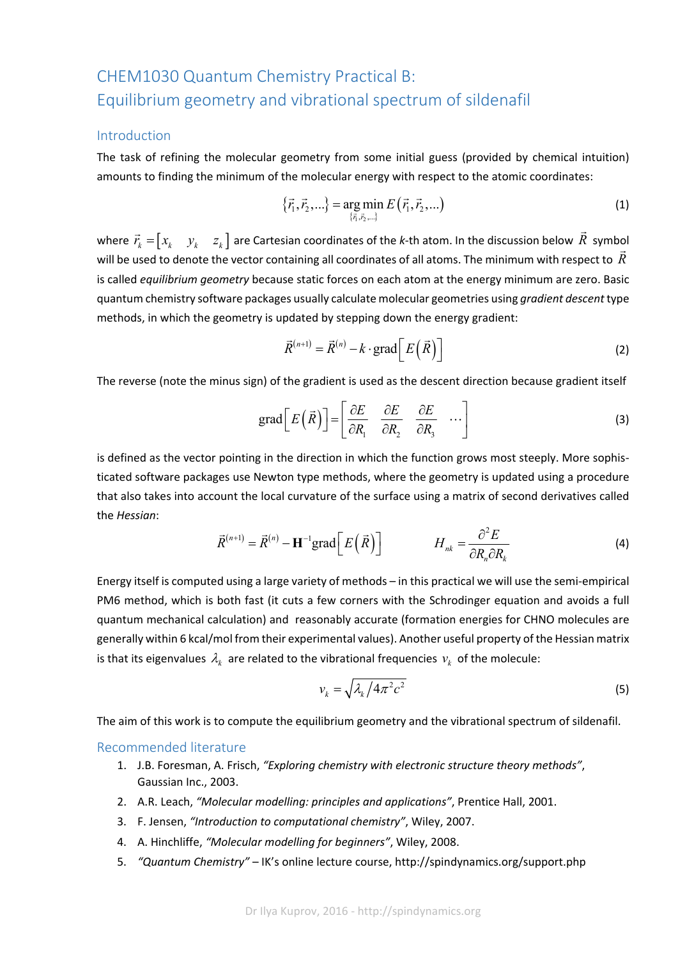# CHEM1030 Quantum Chemistry Practical B: Equilibrium geometry and vibrational spectrum of sildenafil

#### Introduction

The task of refining the molecular geometry from some initial guess (provided by chemical intuition) amounts to finding the minimum of the molecular energy with respect to the atomic coordinates:

$$
\{\vec{r}_1, \vec{r}_2, ...\} = \underset{\{\vec{r}_1, \vec{r}_2, ...\}}{\arg \min} E(\vec{r}_1, \vec{r}_2, ...)
$$
\n(1)

where  $\vec{r}_k = \begin{bmatrix} x_k & y_k & z_k \end{bmatrix}$  are Cartesian coordinates of the *k*-th atom. In the discussion below  $\vec{R}$  symbol will be used to denote the vector containing all coordinates of all atoms. The minimum with respect to *R* is called *equilibrium geometry* because static forces on each atom at the energy minimum are zero. Basic quantum chemistry software packages usually calculate molecular geometries using *gradient descent*type methods, in which the geometry is updated by stepping down the energy gradient:

$$
\vec{R}^{(n+1)} = \vec{R}^{(n)} - k \cdot \text{grad}\bigg[E\big(\vec{R}\big)\bigg]
$$
 (2)

The reverse (note the minus sign) of the gradient is used as the descent direction because gradient itself

$$
\text{grad}\left[E\left(\vec{R}\right)\right] = \left[\begin{array}{cc} \frac{\partial E}{\partial R_1} & \frac{\partial E}{\partial R_2} & \frac{\partial E}{\partial R_3} & \cdots \end{array}\right] \tag{3}
$$

is defined as the vector pointing in the direction in which the function grows most steeply. More sophisticated software packages use Newton type methods, where the geometry is updated using a procedure that also takes into account the local curvature of the surface using a matrix of second derivatives called the *Hessian*:

$$
\vec{R}^{(n+1)} = \vec{R}^{(n)} - \mathbf{H}^{-1} \text{grad} \Big[ E\Big(\vec{R}\Big) \Big] \qquad H_{nk} = \frac{\partial^2 E}{\partial R_n \partial R_k} \tag{4}
$$

Energy itself is computed using a large variety of methods – in this practical we will use the semi‐empirical PM6 method, which is both fast (it cuts a few corners with the Schrodinger equation and avoids a full quantum mechanical calculation) and reasonably accurate (formation energies for CHNO molecules are generally within 6 kcal/mol from their experimental values). Another useful property of the Hessian matrix is that its eigenvalues  $\lambda_k$  are related to the vibrational frequencies  $v_k$  of the molecule:

$$
v_k = \sqrt{\lambda_k / 4\pi^2 c^2} \tag{5}
$$

The aim of this work is to compute the equilibrium geometry and the vibrational spectrum of sildenafil.

#### Recommended literature

- 1. J.B. Foresman, A. Frisch, *"Exploring chemistry with electronic structure theory methods"*, Gaussian Inc., 2003.
- 2. A.R. Leach, *"Molecular modelling: principles and applications"*, Prentice Hall, 2001.
- 3. F. Jensen, *"Introduction to computational chemistry"*, Wiley, 2007.
- 4. A. Hinchliffe, *"Molecular modelling for beginners"*, Wiley, 2008.
- 5. *"Quantum Chemistry"* IK's online lecture course, http://spindynamics.org/support.php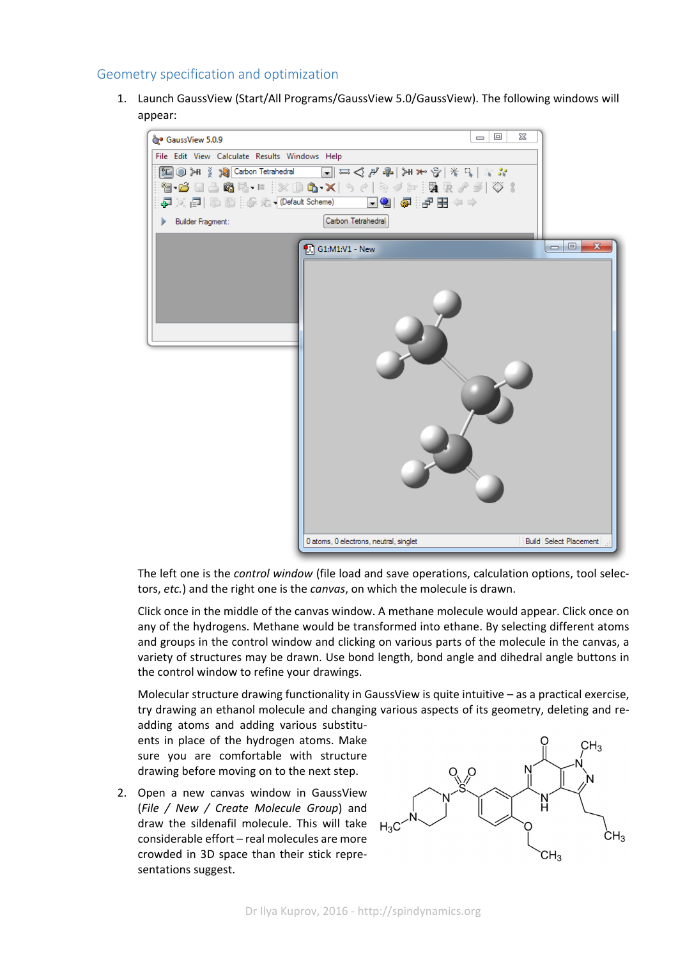## Geometry specification and optimization

1. Launch GaussView (Start/All Programs/GaussView 5.0/GaussView). The following windows will appear:



The left one is the *control window* (file load and save operations, calculation options, tool selec‐ tors, *etc.*) and the right one is the *canvas*, on which the molecule is drawn.

Click once in the middle of the canvas window. A methane molecule would appear. Click once on any of the hydrogens. Methane would be transformed into ethane. By selecting different atoms and groups in the control window and clicking on various parts of the molecule in the canvas, a variety of structures may be drawn. Use bond length, bond angle and dihedral angle buttons in the control window to refine your drawings.

Molecular structure drawing functionality in GaussView is quite intuitive – as a practical exercise, try drawing an ethanol molecule and changing various aspects of its geometry, deleting and re‐

adding atoms and adding various substitu‐ ents in place of the hydrogen atoms. Make sure you are comfortable with structure drawing before moving on to the next step.

2. Open a new canvas window in GaussView (*File / New / Create Molecule Group*) and draw the sildenafil molecule. This will take considerable effort – real molecules are more crowded in 3D space than their stick repre‐ sentations suggest.

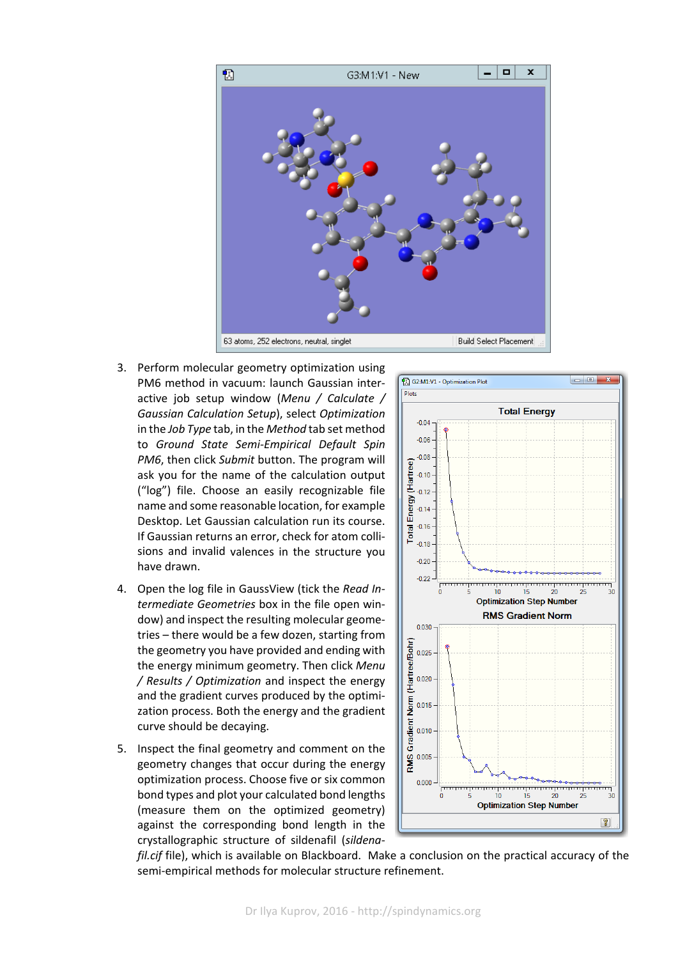

- 3. Perform molecular geometry optimization using PM6 method in vacuum: launch Gaussian inter‐ active job setup window (*Menu / Calculate / Gaussian Calculation Setup*), select *Optimization* in the *Job Type* tab, in the *Method* tab set method to *Ground State Semi‐Empirical Default Spin PM6*, then click *Submit* button. The program will ask you for the name of the calculation output ("log") file. Choose an easily recognizable file name and some reasonable location, for example Desktop. Let Gaussian calculation run its course. If Gaussian returns an error, check for atom colli‐ sions and invalid valences in the structure you have drawn.
- 4. Open the log file in GaussView (tick the *Read In‐ termediate Geometries* box in the file open win‐ dow) and inspect the resulting molecular geome‐ tries – there would be a few dozen, starting from the geometry you have provided and ending with the energy minimum geometry. Then click *Menu / Results / Optimization* and inspect the energy and the gradient curves produced by the optimi‐ zation process. Both the energy and the gradient curve should be decaying.
- 5. Inspect the final geometry and comment on the geometry changes that occur during the energy optimization process. Choose five or six common bond types and plot your calculated bond lengths (measure them on the optimized geometry) against the corresponding bond length in the crystallographic structure of sildenafil (*sildena‐*



*fil.cif* file), which is available on Blackboard. Make a conclusion on the practical accuracy of the semi-empirical methods for molecular structure refinement.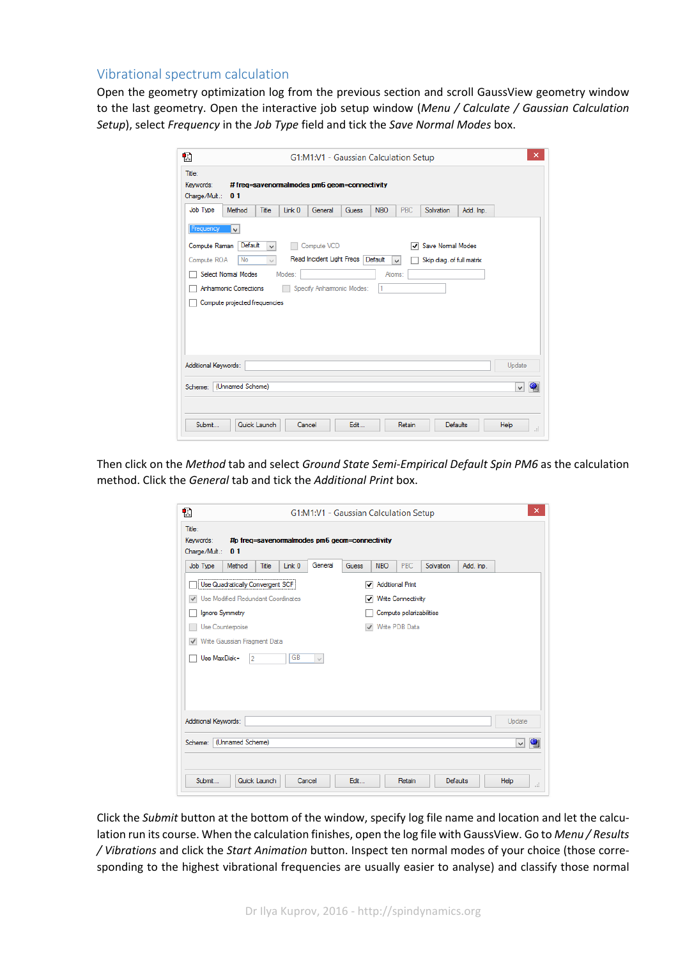#### Vibrational spectrum calculation

Open the geometry optimization log from the previous section and scroll GaussView geometry window to the last geometry. Open the interactive job setup window (*Menu / Calculate / Gaussian Calculation Setup*), select *Frequency* in the *Job Type* field and tick the *Save Normal Modes* box.

| ×<br>忉<br>G1:M1:V1 - Gaussian Calculation Setup                                                         |        |              |        |         |              |            |            |                 |           |                  |
|---------------------------------------------------------------------------------------------------------|--------|--------------|--------|---------|--------------|------------|------------|-----------------|-----------|------------------|
| Title:<br>Keywords:<br>#freq=savenormalmodes pm6 geom=connectivity<br>Charge/Mult.:<br>01               |        |              |        |         |              |            |            |                 |           |                  |
| Job Type                                                                                                | Method | Title        | Link 0 | General | <b>Guess</b> | <b>NBO</b> | <b>PBC</b> | Solvation       | Add. Inp. |                  |
| Frequency<br>$\checkmark$                                                                               |        |              |        |         |              |            |            |                 |           |                  |
| Default<br>Save Normal Modes<br>Compute Raman<br>Compute VCD<br>▿<br>$\vee$                             |        |              |        |         |              |            |            |                 |           |                  |
| Read Incident Light Freqs<br>Default<br>No<br>Compute ROA<br>Skip diag. of full matrix<br>v<br>$\omega$ |        |              |        |         |              |            |            |                 |           |                  |
| Select Normal Modes<br>Modes:<br>Atoms:                                                                 |        |              |        |         |              |            |            |                 |           |                  |
| <b>Anhamonic Corrections</b><br>Specify Anhamonic Modes:<br>1                                           |        |              |        |         |              |            |            |                 |           |                  |
| Compute projected frequencies                                                                           |        |              |        |         |              |            |            |                 |           |                  |
| Additional Keywords:<br>Update                                                                          |        |              |        |         |              |            |            |                 |           |                  |
| (Unnamed Scheme)<br>Scheme:<br>$\checkmark$                                                             |        |              |        |         |              |            |            |                 |           |                  |
| Submit                                                                                                  |        | Quick Launch | Cancel |         | Edit         |            | Retain     | <b>Defaults</b> |           | Help<br>$\ldots$ |

Then click on the *Method* tab and select *Ground State Semi‐Empirical Default Spin PM6* as the calculation method. Click the *General* tab and tick the *Additional Print* box.

| Đ.<br>Title:<br>Keywords:                                                            |                                  |              |           | G1:M1:V1 - Gaussian Calculation Setup<br>#p freq=savenormalmodes pm6 geom=connectivity |              |            |                         |           |           | $\mathsf{x}$ |
|--------------------------------------------------------------------------------------|----------------------------------|--------------|-----------|----------------------------------------------------------------------------------------|--------------|------------|-------------------------|-----------|-----------|--------------|
| Charge/Mult.:                                                                        | 0 <sub>1</sub>                   |              |           |                                                                                        |              |            |                         |           |           |              |
| Job Type                                                                             | Method                           | Title        | Link 0    | General                                                                                | <b>Guess</b> | <b>NBO</b> | PBC                     | Solvation | Add. Inp. |              |
|                                                                                      | Use Quadratically Convergent SCF |              |           |                                                                                        | ▿            |            | <b>Additional Print</b> |           |           |              |
| Use Modified Redundant Coordinates<br><b>Write Connectivity</b><br>$\checkmark$<br>▿ |                                  |              |           |                                                                                        |              |            |                         |           |           |              |
| Ignore Symmetry<br>Compute polarizabilities                                          |                                  |              |           |                                                                                        |              |            |                         |           |           |              |
|                                                                                      | Use Counterpoise                 |              |           |                                                                                        | $\checkmark$ |            | Write PDB Data          |           |           |              |
| $\checkmark$                                                                         | Write Gaussian Fragment Data     |              |           |                                                                                        |              |            |                         |           |           |              |
| Use MaxDisk=                                                                         | 2                                |              | <b>GB</b> | $\cup$                                                                                 |              |            |                         |           |           |              |
|                                                                                      |                                  |              |           |                                                                                        |              |            |                         |           |           |              |
|                                                                                      |                                  |              |           |                                                                                        |              |            |                         |           |           |              |
|                                                                                      |                                  |              |           |                                                                                        |              |            |                         |           |           |              |
| Additional Keywords:                                                                 |                                  |              |           |                                                                                        |              |            |                         |           |           | Update       |
| Scheme: (Unnamed Scheme)                                                             |                                  |              |           |                                                                                        |              |            |                         |           |           | v            |
|                                                                                      |                                  |              |           |                                                                                        |              |            |                         |           |           |              |
|                                                                                      |                                  |              |           |                                                                                        |              |            |                         |           |           |              |
| Submit                                                                               |                                  | Quick Launch | Cancel    |                                                                                        | Edit         |            | Retain                  |           | Defaults  | Help<br>цÍ.  |

Click the *Submit* button at the bottom of the window, specify log file name and location and let the calcu‐ lation run its course. When the calculation finishes, open the log file with GaussView. Go to *Menu / Results / Vibrations* and click the *Start Animation* button. Inspect ten normal modes of your choice (those corre‐ sponding to the highest vibrational frequencies are usually easier to analyse) and classify those normal